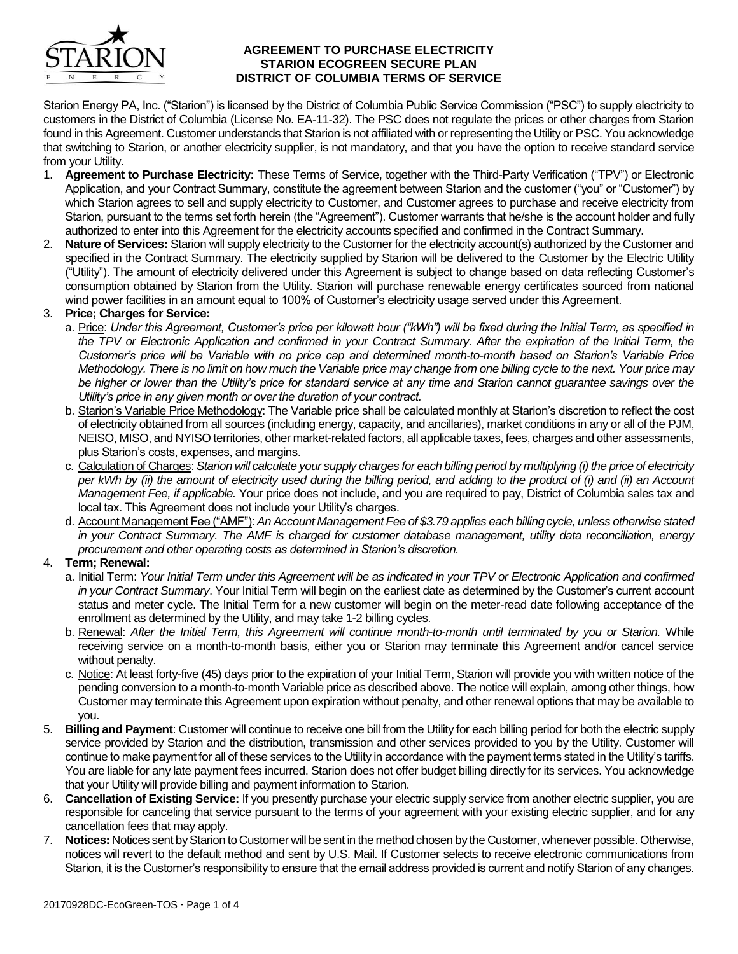

#### **AGREEMENT TO PURCHASE ELECTRICITY STARION ECOGREEN SECURE PLAN DISTRICT OF COLUMBIA TERMS OF SERVICE**

Starion Energy PA, Inc. ("Starion") is licensed by the District of Columbia Public Service Commission ("PSC") to supply electricity to customers in the District of Columbia (License No. EA-11-32). The PSC does not regulate the prices or other charges from Starion found in this Agreement. Customer understands that Starion is not affiliated with or representing the Utility or PSC. You acknowledge that switching to Starion, or another electricity supplier, is not mandatory, and that you have the option to receive standard service from your Utility.

- 1. **Agreement to Purchase Electricity:** These Terms of Service, together with the Third-Party Verification ("TPV") or Electronic Application, and your Contract Summary, constitute the agreement between Starion and the customer ("you" or "Customer") by which Starion agrees to sell and supply electricity to Customer, and Customer agrees to purchase and receive electricity from Starion, pursuant to the terms set forth herein (the "Agreement"). Customer warrants that he/she is the account holder and fully authorized to enter into this Agreement for the electricity accounts specified and confirmed in the Contract Summary.
- 2. **Nature of Services:** Starion will supply electricity to the Customer for the electricity account(s) authorized by the Customer and specified in the Contract Summary. The electricity supplied by Starion will be delivered to the Customer by the Electric Utility ("Utility"). The amount of electricity delivered under this Agreement is subject to change based on data reflecting Customer's consumption obtained by Starion from the Utility. Starion will purchase renewable energy certificates sourced from national wind power facilities in an amount equal to 100% of Customer's electricity usage served under this Agreement.

### 3. **Price; Charges for Service:**

- a. Price: *Under this Agreement, Customer's price per kilowatt hour ("kWh") will be fixed during the Initial Term, as specified in*  the TPV or Electronic Application and confirmed in your Contract Summary. After the expiration of the Initial Term, the *Customer's price will be Variable with no price cap and determined month-to-month based on Starion's Variable Price Methodology. There is no limit on how much the Variable price may change from one billing cycle to the next. Your price may be higher or lower than the Utility's price for standard service at any time and Starion cannot guarantee savings over the Utility's price in any given month or over the duration of your contract.*
- b. Starion's Variable Price Methodology: The Variable price shall be calculated monthly at Starion's discretion to reflect the cost of electricity obtained from all sources (including energy, capacity, and ancillaries), market conditions in any or all of the PJM, NEISO, MISO, and NYISO territories, other market-related factors, all applicable taxes, fees, charges and other assessments, plus Starion's costs, expenses, and margins.
- c. Calculation of Charges: *Starion will calculate your supply charges for each billing period by multiplying (i) the price of electricity per kWh by (ii) the amount of electricity used during the billing period, and adding to the product of (i) and (ii) an Account Management Fee, if applicable.* Your price does not include, and you are required to pay, District of Columbia sales tax and local tax. This Agreement does not include your Utility's charges.
- d. Account Management Fee ("AMF"): *An Account Management Fee of \$3.79 applies each billing cycle, unless otherwise stated in your Contract Summary. The AMF is charged for customer database management, utility data reconciliation, energy procurement and other operating costs as determined in Starion's discretion.*

## 4. **Term; Renewal:**

- a. Initial Term: *Your Initial Term under this Agreement will be as indicated in your TPV or Electronic Application and confirmed in your Contract Summary*. Your Initial Term will begin on the earliest date as determined by the Customer's current account status and meter cycle. The Initial Term for a new customer will begin on the meter-read date following acceptance of the enrollment as determined by the Utility, and may take 1-2 billing cycles.
- b. Renewal: *After the Initial Term, this Agreement will continue month-to-month until terminated by you or Starion.* While receiving service on a month-to-month basis, either you or Starion may terminate this Agreement and/or cancel service without penalty.
- c. Notice: At least forty-five (45) days prior to the expiration of your Initial Term, Starion will provide you with written notice of the pending conversion to a month-to-month Variable price as described above. The notice will explain, among other things, how Customer may terminate this Agreement upon expiration without penalty, and other renewal options that may be available to you.
- 5. **Billing and Payment**: Customer will continue to receive one bill from the Utility for each billing period for both the electric supply service provided by Starion and the distribution, transmission and other services provided to you by the Utility. Customer will continue to make payment for all of these services to the Utility in accordance with the payment terms stated in the Utility's tariffs. You are liable for any late payment fees incurred. Starion does not offer budget billing directly for its services. You acknowledge that your Utility will provide billing and payment information to Starion.
- 6. **Cancellation of Existing Service:** If you presently purchase your electric supply service from another electric supplier, you are responsible for canceling that service pursuant to the terms of your agreement with your existing electric supplier, and for any cancellation fees that may apply.
- 7. **Notices:** Notices sent by Starion to Customer will be sent in the method chosen by the Customer, whenever possible. Otherwise, notices will revert to the default method and sent by U.S. Mail. If Customer selects to receive electronic communications from Starion, it is the Customer's responsibility to ensure that the email address provided is current and notify Starion of any changes.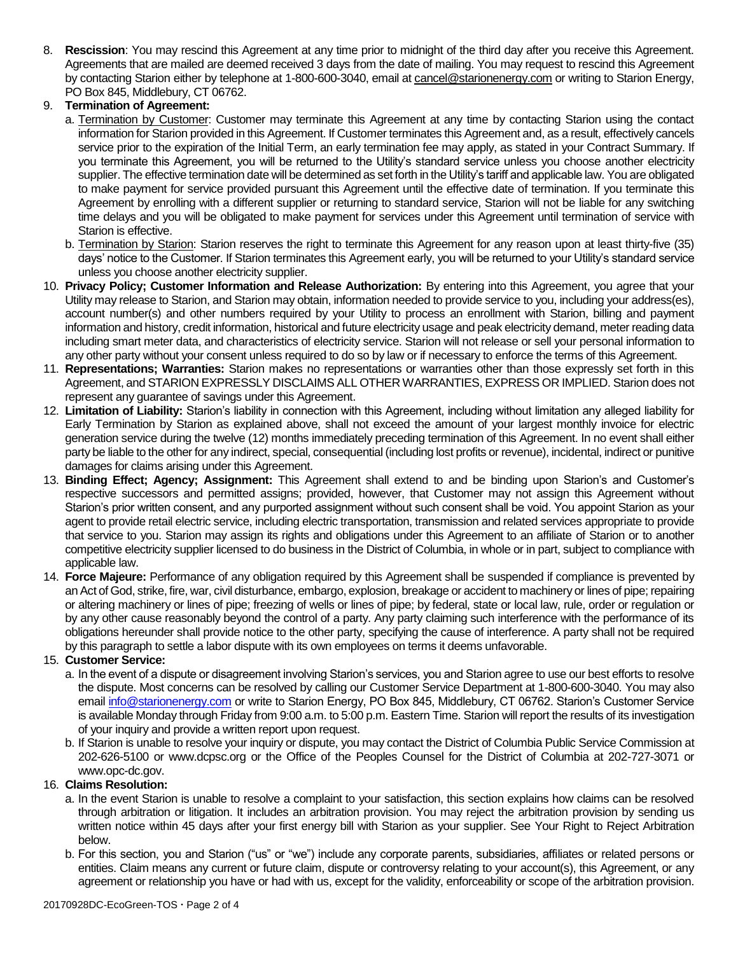8. **Rescission**: You may rescind this Agreement at any time prior to midnight of the third day after you receive this Agreement. Agreements that are mailed are deemed received 3 days from the date of mailing. You may request to rescind this Agreement by contacting Starion either by telephone at 1-800-600-3040, email at cancel@starionenergy.com or writing to Starion Energy, PO Box 845, Middlebury, CT 06762.

# 9. **Termination of Agreement:**

- a. Termination by Customer: Customer may terminate this Agreement at any time by contacting Starion using the contact information for Starion provided in this Agreement. If Customer terminates this Agreement and, as a result, effectively cancels service prior to the expiration of the Initial Term, an early termination fee may apply, as stated in your Contract Summary. If you terminate this Agreement, you will be returned to the Utility's standard service unless you choose another electricity supplier. The effective termination date will be determined as set forth in the Utility's tariff and applicable law. You are obligated to make payment for service provided pursuant this Agreement until the effective date of termination. If you terminate this Agreement by enrolling with a different supplier or returning to standard service, Starion will not be liable for any switching time delays and you will be obligated to make payment for services under this Agreement until termination of service with Starion is effective.
- b. Termination by Starion: Starion reserves the right to terminate this Agreement for any reason upon at least thirty-five (35) days' notice to the Customer. If Starion terminates this Agreement early, you will be returned to your Utility's standard service unless you choose another electricity supplier.
- 10. **Privacy Policy; Customer Information and Release Authorization:** By entering into this Agreement, you agree that your Utility may release to Starion, and Starion may obtain, information needed to provide service to you, including your address(es), account number(s) and other numbers required by your Utility to process an enrollment with Starion, billing and payment information and history, credit information, historical and future electricity usage and peak electricity demand, meter reading data including smart meter data, and characteristics of electricity service. Starion will not release or sell your personal information to any other party without your consent unless required to do so by law or if necessary to enforce the terms of this Agreement.
- 11. **Representations; Warranties:** Starion makes no representations or warranties other than those expressly set forth in this Agreement, and STARION EXPRESSLY DISCLAIMS ALL OTHER WARRANTIES, EXPRESS OR IMPLIED. Starion does not represent any guarantee of savings under this Agreement.
- 12. **Limitation of Liability:** Starion's liability in connection with this Agreement, including without limitation any alleged liability for Early Termination by Starion as explained above, shall not exceed the amount of your largest monthly invoice for electric generation service during the twelve (12) months immediately preceding termination of this Agreement. In no event shall either party be liable to the other for any indirect, special, consequential (including lost profits or revenue), incidental, indirect or punitive damages for claims arising under this Agreement.
- 13. **Binding Effect; Agency; Assignment:** This Agreement shall extend to and be binding upon Starion's and Customer's respective successors and permitted assigns; provided, however, that Customer may not assign this Agreement without Starion's prior written consent, and any purported assignment without such consent shall be void. You appoint Starion as your agent to provide retail electric service, including electric transportation, transmission and related services appropriate to provide that service to you. Starion may assign its rights and obligations under this Agreement to an affiliate of Starion or to another competitive electricity supplier licensed to do business in the District of Columbia, in whole or in part, subject to compliance with applicable law.
- 14. **Force Majeure:** Performance of any obligation required by this Agreement shall be suspended if compliance is prevented by an Act of God, strike, fire, war, civil disturbance, embargo, explosion, breakage or accident to machinery or lines of pipe; repairing or altering machinery or lines of pipe; freezing of wells or lines of pipe; by federal, state or local law, rule, order or regulation or by any other cause reasonably beyond the control of a party. Any party claiming such interference with the performance of its obligations hereunder shall provide notice to the other party, specifying the cause of interference. A party shall not be required by this paragraph to settle a labor dispute with its own employees on terms it deems unfavorable.

## 15. **Customer Service:**

- a. In the event of a dispute or disagreement involving Starion's services, you and Starion agree to use our best efforts to resolve the dispute. Most concerns can be resolved by calling our Customer Service Department at 1-800-600-3040. You may also email [info@starionenergy.com](mailto:info@starionenergy.com) or write to Starion Energy, PO Box 845, Middlebury, CT 06762. Starion's Customer Service is available Monday through Friday from 9:00 a.m. to 5:00 p.m. Eastern Time. Starion will report the results of its investigation of your inquiry and provide a written report upon request.
- b. If Starion is unable to resolve your inquiry or dispute, you may contact the District of Columbia Public Service Commission at 202-626-5100 or www.dcpsc.org or the Office of the Peoples Counsel for the District of Columbia at 202-727-3071 or www.opc-dc.gov.

## 16. **Claims Resolution:**

- a. In the event Starion is unable to resolve a complaint to your satisfaction, this section explains how claims can be resolved through arbitration or litigation. It includes an arbitration provision. You may reject the arbitration provision by sending us written notice within 45 days after your first energy bill with Starion as your supplier. See Your Right to Reject Arbitration below.
- b. For this section, you and Starion ("us" or "we") include any corporate parents, subsidiaries, affiliates or related persons or entities. Claim means any current or future claim, dispute or controversy relating to your account(s), this Agreement, or any agreement or relationship you have or had with us, except for the validity, enforceability or scope of the arbitration provision.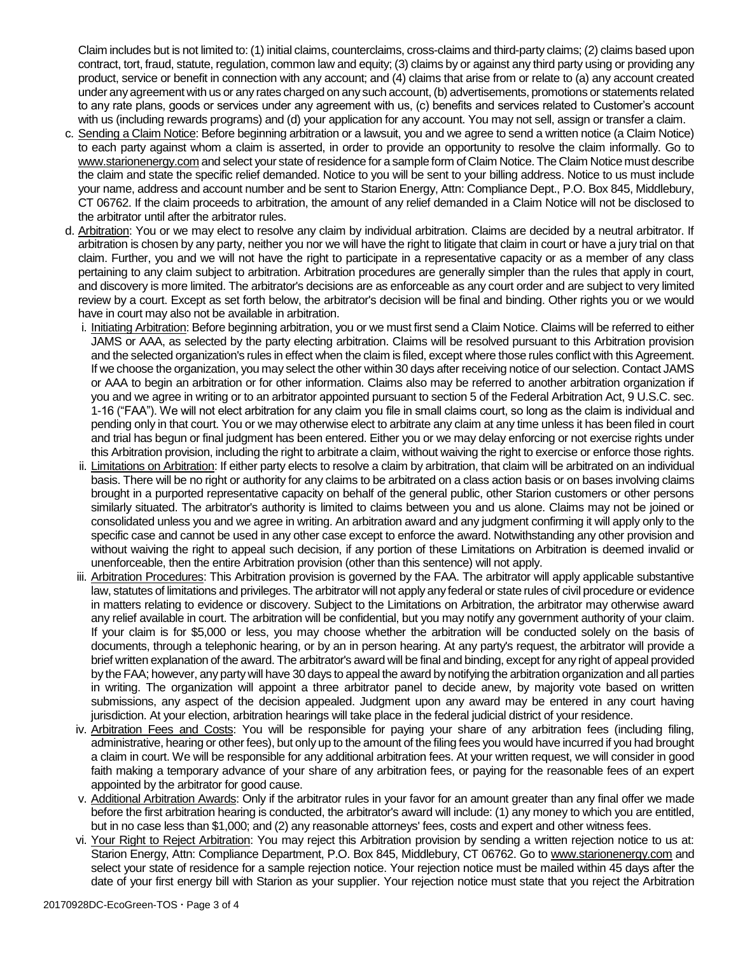Claim includes but is not limited to: (1) initial claims, counterclaims, cross-claims and third-party claims; (2) claims based upon contract, tort, fraud, statute, regulation, common law and equity; (3) claims by or against any third party using or providing any product, service or benefit in connection with any account; and (4) claims that arise from or relate to (a) any account created under any agreement with us or any rates charged on any such account, (b) advertisements, promotions or statements related to any rate plans, goods or services under any agreement with us, (c) benefits and services related to Customer's account with us (including rewards programs) and (d) your application for any account. You may not sell, assign or transfer a claim.

- c. Sending a Claim Notice: Before beginning arbitration or a lawsuit, you and we agree to send a written notice (a Claim Notice) to each party against whom a claim is asserted, in order to provide an opportunity to resolve the claim informally. Go to www.starionenergy.com and select your state of residence for a sample form of Claim Notice. The Claim Notice must describe the claim and state the specific relief demanded. Notice to you will be sent to your billing address. Notice to us must include your name, address and account number and be sent to Starion Energy, Attn: Compliance Dept., P.O. Box 845, Middlebury, CT 06762. If the claim proceeds to arbitration, the amount of any relief demanded in a Claim Notice will not be disclosed to the arbitrator until after the arbitrator rules.
- d. Arbitration: You or we may elect to resolve any claim by individual arbitration. Claims are decided by a neutral arbitrator. If arbitration is chosen by any party, neither you nor we will have the right to litigate that claim in court or have a jury trial on that claim. Further, you and we will not have the right to participate in a representative capacity or as a member of any class pertaining to any claim subject to arbitration. Arbitration procedures are generally simpler than the rules that apply in court, and discovery is more limited. The arbitrator's decisions are as enforceable as any court order and are subject to very limited review by a court. Except as set forth below, the arbitrator's decision will be final and binding. Other rights you or we would have in court may also not be available in arbitration.
	- i. Initiating Arbitration: Before beginning arbitration, you or we must first send a Claim Notice. Claims will be referred to either JAMS or AAA, as selected by the party electing arbitration. Claims will be resolved pursuant to this Arbitration provision and the selected organization's rules in effect when the claim is filed, except where those rules conflict with this Agreement. If we choose the organization, you may select the other within 30 days after receiving notice of our selection. Contact JAMS or AAA to begin an arbitration or for other information. Claims also may be referred to another arbitration organization if you and we agree in writing or to an arbitrator appointed pursuant to section 5 of the Federal Arbitration Act, 9 U.S.C. sec. 1-16 ("FAA"). We will not elect arbitration for any claim you file in small claims court, so long as the claim is individual and pending only in that court. You or we may otherwise elect to arbitrate any claim at any time unless it has been filed in court and trial has begun or final judgment has been entered. Either you or we may delay enforcing or not exercise rights under this Arbitration provision, including the right to arbitrate a claim, without waiving the right to exercise or enforce those rights.
	- ii. Limitations on Arbitration: If either party elects to resolve a claim by arbitration, that claim will be arbitrated on an individual basis. There will be no right or authority for any claims to be arbitrated on a class action basis or on bases involving claims brought in a purported representative capacity on behalf of the general public, other Starion customers or other persons similarly situated. The arbitrator's authority is limited to claims between you and us alone. Claims may not be joined or consolidated unless you and we agree in writing. An arbitration award and any judgment confirming it will apply only to the specific case and cannot be used in any other case except to enforce the award. Notwithstanding any other provision and without waiving the right to appeal such decision, if any portion of these Limitations on Arbitration is deemed invalid or unenforceable, then the entire Arbitration provision (other than this sentence) will not apply.
	- iii. Arbitration Procedures: This Arbitration provision is governed by the FAA. The arbitrator will apply applicable substantive law, statutes of limitations and privileges. The arbitrator will not apply any federal or state rules of civil procedure or evidence in matters relating to evidence or discovery. Subject to the Limitations on Arbitration, the arbitrator may otherwise award any relief available in court. The arbitration will be confidential, but you may notify any government authority of your claim. If your claim is for \$5,000 or less, you may choose whether the arbitration will be conducted solely on the basis of documents, through a telephonic hearing, or by an in person hearing. At any party's request, the arbitrator will provide a brief written explanation of the award. The arbitrator's award will be final and binding, except for any right of appeal provided by the FAA; however, any party will have 30 days to appeal the award by notifying the arbitration organization and all parties in writing. The organization will appoint a three arbitrator panel to decide anew, by majority vote based on written submissions, any aspect of the decision appealed. Judgment upon any award may be entered in any court having jurisdiction. At your election, arbitration hearings will take place in the federal judicial district of your residence.
	- iv. Arbitration Fees and Costs: You will be responsible for paying your share of any arbitration fees (including filing, administrative, hearing or other fees), but only up to the amount of the filing fees you would have incurred if you had brought a claim in court. We will be responsible for any additional arbitration fees. At your written request, we will consider in good faith making a temporary advance of your share of any arbitration fees, or paying for the reasonable fees of an expert appointed by the arbitrator for good cause.
	- v. Additional Arbitration Awards: Only if the arbitrator rules in your favor for an amount greater than any final offer we made before the first arbitration hearing is conducted, the arbitrator's award will include: (1) any money to which you are entitled, but in no case less than \$1,000; and (2) any reasonable attorneys' fees, costs and expert and other witness fees.
	- vi. Your Right to Reject Arbitration: You may reject this Arbitration provision by sending a written rejection notice to us at: Starion Energy, Attn: Compliance Department, P.O. Box 845, Middlebury, CT 06762. Go to www.starionenergy.com and select your state of residence for a sample rejection notice. Your rejection notice must be mailed within 45 days after the date of your first energy bill with Starion as your supplier. Your rejection notice must state that you reject the Arbitration